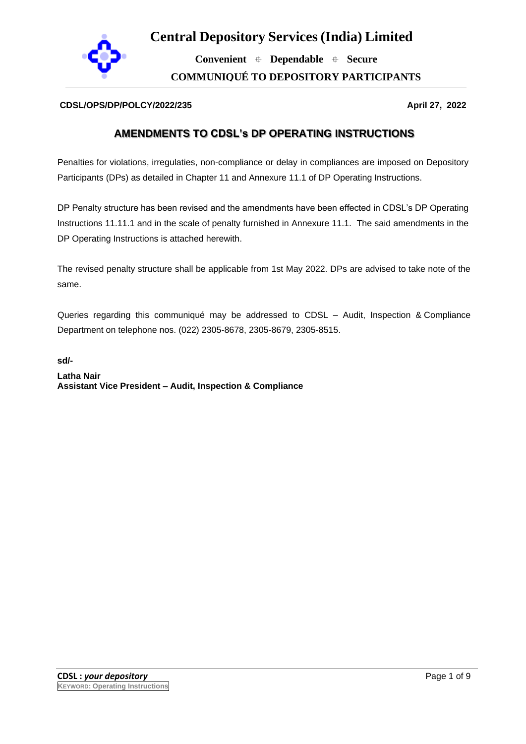

**Convenient Dependable Secure**

**COMMUNIQUÉ TO DEPOSITORY PARTICIPANTS**

#### **CDSL/OPS/DP/POLCY/2022/235 April 27, 2022**

#### **AMENDMENTS TO CDSL's DP OPERATING INSTRUCTIONS**

Penalties for violations, irregulaties, non-compliance or delay in compliances are imposed on Depository Participants (DPs) as detailed in Chapter 11 and Annexure 11.1 of DP Operating Instructions.

DP Penalty structure has been revised and the amendments have been effected in CDSL's DP Operating Instructions 11.11.1 and in the scale of penalty furnished in Annexure 11.1. The said amendments in the DP Operating Instructions is attached herewith.

The revised penalty structure shall be applicable from 1st May 2022. DPs are advised to take note of the same.

Queries regarding this communiqué may be addressed to CDSL – Audit, Inspection & Compliance Department on telephone nos. (022) 2305-8678, 2305-8679, 2305-8515.

**sd/-**

**Latha Nair Assistant Vice President – Audit, Inspection & Compliance**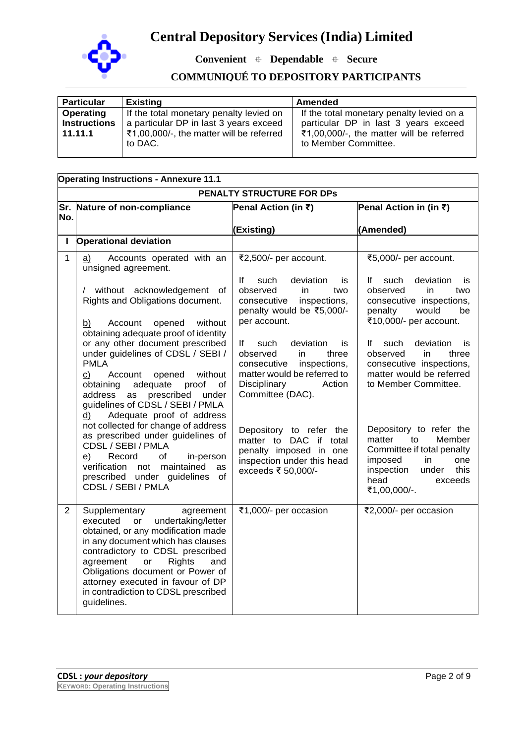

**Convenient Dependable Secure**

### **COMMUNIQUÉ TO DEPOSITORY PARTICIPANTS**

| <b>Particular</b>   | <b>Existing</b>                          | Amended                                   |
|---------------------|------------------------------------------|-------------------------------------------|
| Operating           | If the total monetary penalty levied on  | If the total monetary penalty levied on a |
| <b>Instructions</b> | a particular DP in last 3 years exceed   | particular DP in last 3 years exceed      |
| 11.11.1             | ₹1,00,000/-, the matter will be referred | ₹1,00,000/-, the matter will be referred  |
|                     | to DAC.                                  | to Member Committee.                      |
|                     |                                          |                                           |

| <b>Operating Instructions - Annexure 11.1</b> |                                                                                                                                                                                                                                                                                                                                                                                                                  |                                                                                                                                                                                       |                                                                                                                                                                            |  |
|-----------------------------------------------|------------------------------------------------------------------------------------------------------------------------------------------------------------------------------------------------------------------------------------------------------------------------------------------------------------------------------------------------------------------------------------------------------------------|---------------------------------------------------------------------------------------------------------------------------------------------------------------------------------------|----------------------------------------------------------------------------------------------------------------------------------------------------------------------------|--|
| PENALTY STRUCTURE FOR DPs                     |                                                                                                                                                                                                                                                                                                                                                                                                                  |                                                                                                                                                                                       |                                                                                                                                                                            |  |
|                                               | Sr. Nature of non-compliance                                                                                                                                                                                                                                                                                                                                                                                     | Penal Action (in ₹)                                                                                                                                                                   | Penal Action in (in ₹)                                                                                                                                                     |  |
| No.                                           |                                                                                                                                                                                                                                                                                                                                                                                                                  |                                                                                                                                                                                       |                                                                                                                                                                            |  |
| Ι.                                            | <b>Operational deviation</b>                                                                                                                                                                                                                                                                                                                                                                                     | (Existing)                                                                                                                                                                            | (Amended)                                                                                                                                                                  |  |
|                                               |                                                                                                                                                                                                                                                                                                                                                                                                                  |                                                                                                                                                                                       |                                                                                                                                                                            |  |
| $\mathbf{1}$                                  | Accounts operated with an<br>a)<br>unsigned agreement.                                                                                                                                                                                                                                                                                                                                                           | ₹2,500/- per account.                                                                                                                                                                 | ₹5,000/- per account.                                                                                                                                                      |  |
|                                               | without acknowledgement<br>of<br>Rights and Obligations document.                                                                                                                                                                                                                                                                                                                                                | deviation<br>lf<br>such<br>is<br>observed<br>in.<br>two<br>consecutive<br>inspections,<br>penalty would be ₹5,000/-                                                                   | such<br>deviation<br>lf<br>is<br>observed<br>in.<br>two<br>consecutive inspections,<br>would<br>be<br>penalty                                                              |  |
|                                               | Account<br>opened<br>without<br>b)<br>obtaining adequate proof of identity<br>or any other document prescribed<br>under guidelines of CDSL / SEBI /<br><b>PMLA</b><br>$\mathsf{C}$<br>opened<br>without<br>Account<br>adequate<br>obtaining<br>proof<br>οf<br>prescribed<br>address<br>as<br>under<br>guidelines of CDSL / SEBI / PMLA<br>Adequate proof of address<br>d)<br>not collected for change of address | per account.<br>such<br>deviation<br>lf.<br>is<br>observed<br>in<br>three<br>inspections,<br>consecutive<br>matter would be referred to<br>Disciplinary<br>Action<br>Committee (DAC). | ₹10,000/- per account.<br>deviation<br>such<br>lf.<br>is<br>observed<br>in.<br>three<br>consecutive inspections,<br>matter would be referred<br>to Member Committee.       |  |
|                                               | as prescribed under guidelines of<br>CDSL / SEBI / PMLA<br>of<br>e)<br>Record<br>in-person<br>verification not maintained<br>as<br>prescribed under guidelines<br>οf<br>CDSL / SEBI / PMLA                                                                                                                                                                                                                       | Depository to refer the<br>matter to DAC if total<br>penalty imposed in one<br>inspection under this head<br>exceeds ₹ 50,000/-                                                       | Depository to refer the<br>Member<br>matter<br>to<br>Committee if total penalty<br>imposed<br>in.<br>one<br>inspection<br>under<br>this<br>head<br>exceeds<br>₹1,00,000/-. |  |
| $\overline{2}$                                | Supplementary<br>agreement<br>undertaking/letter<br>executed<br>or<br>obtained, or any modification made<br>in any document which has clauses<br>contradictory to CDSL prescribed<br>agreement<br><b>Rights</b><br>and<br>or<br>Obligations document or Power of<br>attorney executed in favour of DP<br>in contradiction to CDSL prescribed<br>guidelines.                                                      | ₹1,000/- per occasion                                                                                                                                                                 | ₹2,000/- per occasion                                                                                                                                                      |  |

٦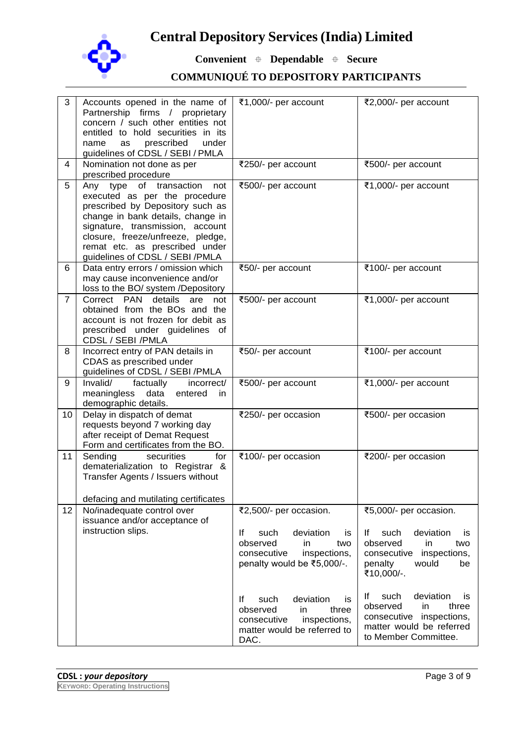

**Convenient Dependable Secure**

| 3              | Accounts opened in the name of<br>Partnership firms / proprietary<br>concern / such other entities not<br>entitled to hold securities in its<br>prescribed<br>under<br>name<br>as<br>guidelines of CDSL / SEBI / PMLA                                                                  | ₹1,000/- per account                                                                                                                                                                                                                                                              | ₹2,000/- per account                                                                                                                                                                                                                                                                                 |
|----------------|----------------------------------------------------------------------------------------------------------------------------------------------------------------------------------------------------------------------------------------------------------------------------------------|-----------------------------------------------------------------------------------------------------------------------------------------------------------------------------------------------------------------------------------------------------------------------------------|------------------------------------------------------------------------------------------------------------------------------------------------------------------------------------------------------------------------------------------------------------------------------------------------------|
| 4              | Nomination not done as per<br>prescribed procedure                                                                                                                                                                                                                                     | ₹250/- per account                                                                                                                                                                                                                                                                | ₹500/- per account                                                                                                                                                                                                                                                                                   |
| 5              | Any type of transaction<br>not<br>executed as per the procedure<br>prescribed by Depository such as<br>change in bank details, change in<br>signature, transmission, account<br>closure, freeze/unfreeze, pledge,<br>remat etc. as prescribed under<br>guidelines of CDSL / SEBI /PMLA | ₹500/- per account                                                                                                                                                                                                                                                                | ₹1,000/- per account                                                                                                                                                                                                                                                                                 |
| 6              | Data entry errors / omission which<br>may cause inconvenience and/or<br>loss to the BO/ system /Depository                                                                                                                                                                             | ₹50/- per account                                                                                                                                                                                                                                                                 | ₹100/- per account                                                                                                                                                                                                                                                                                   |
| $\overline{7}$ | Correct PAN<br>details<br>are<br>not<br>obtained from the BOs and the<br>account is not frozen for debit as<br>prescribed under guidelines<br>of<br>CDSL / SEBI /PMLA                                                                                                                  | ₹500/- per account                                                                                                                                                                                                                                                                | ₹1,000/- per account                                                                                                                                                                                                                                                                                 |
| 8              | Incorrect entry of PAN details in<br>CDAS as prescribed under<br>guidelines of CDSL / SEBI /PMLA                                                                                                                                                                                       | ₹50/- per account                                                                                                                                                                                                                                                                 | ₹100/- per account                                                                                                                                                                                                                                                                                   |
| 9              | Invalid/<br>factually<br>incorrect/<br>data<br>meaningless<br>entered<br>in.<br>demographic details.                                                                                                                                                                                   | ₹500/- per account                                                                                                                                                                                                                                                                | ₹1,000/- per account                                                                                                                                                                                                                                                                                 |
| 10             | Delay in dispatch of demat<br>requests beyond 7 working day<br>after receipt of Demat Request<br>Form and certificates from the BO.                                                                                                                                                    | ₹250/- per occasion                                                                                                                                                                                                                                                               | ₹500/- per occasion                                                                                                                                                                                                                                                                                  |
| 11             | Sending<br>securities<br>for<br>dematerialization to Registrar &<br>Transfer Agents / Issuers without<br>defacing and mutilating certificates                                                                                                                                          | ₹100/- per occasion                                                                                                                                                                                                                                                               | ₹200/- per occasion                                                                                                                                                                                                                                                                                  |
| 12             | No/inadequate control over<br>issuance and/or acceptance of<br>instruction slips.                                                                                                                                                                                                      | ₹2,500/- per occasion.<br>deviation<br>such<br>lf<br>is<br>observed<br>in.<br>two<br>consecutive<br>inspections,<br>penalty would be ₹5,000/-.<br>lf<br>such<br>deviation<br>is<br>observed<br>in.<br>three<br>inspections,<br>consecutive<br>matter would be referred to<br>DAC. | ₹5,000/- per occasion.<br>such<br>deviation<br>lf<br>is<br>observed<br>in<br>two<br>consecutive<br>inspections,<br>penalty<br>would<br>be<br>₹10,000/-.<br>such<br>deviation<br>lf<br>is<br>three<br>observed<br>in.<br>consecutive inspections,<br>matter would be referred<br>to Member Committee. |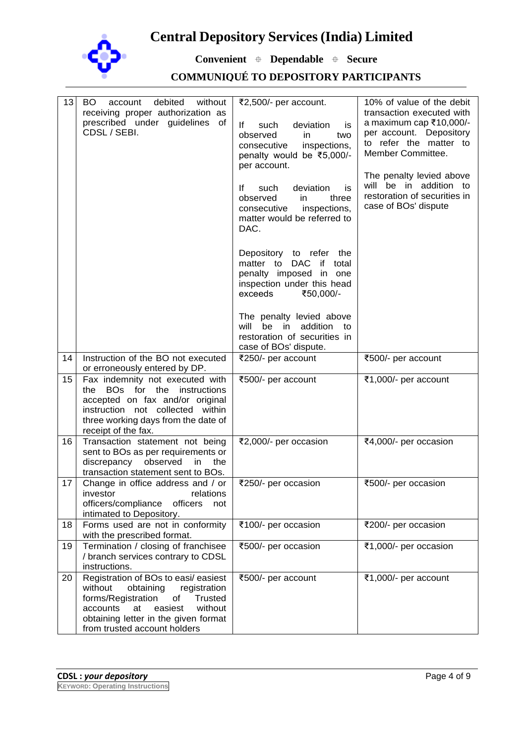

**Convenient Dependable Secure**

| 13 | BO<br>debited<br>without<br>account<br>receiving proper authorization as<br>prescribed under guidelines of<br>CDSL / SEBI.                                                                                                                 | ₹2,500/- per account.<br>lf<br>such<br>deviation<br>is<br>observed<br>in.<br>two<br>consecutive<br>inspections,<br>penalty would be ₹5,000/-<br>per account.<br>lf<br>deviation<br>such<br>is<br>observed<br>in<br>three<br>consecutive<br>inspections,<br>matter would be referred to<br>DAC. | 10% of value of the debit<br>transaction executed with<br>a maximum cap ₹10,000/-<br>per account. Depository<br>to refer the matter to<br>Member Committee.<br>The penalty levied above<br>will be in addition to<br>restoration of securities in<br>case of BOs' dispute |
|----|--------------------------------------------------------------------------------------------------------------------------------------------------------------------------------------------------------------------------------------------|------------------------------------------------------------------------------------------------------------------------------------------------------------------------------------------------------------------------------------------------------------------------------------------------|---------------------------------------------------------------------------------------------------------------------------------------------------------------------------------------------------------------------------------------------------------------------------|
|    |                                                                                                                                                                                                                                            | Depository to refer the<br>matter to<br>DAC<br>if total<br>penalty imposed in one<br>inspection under this head<br>exceeds<br>₹50,000/-                                                                                                                                                        |                                                                                                                                                                                                                                                                           |
|    |                                                                                                                                                                                                                                            | The penalty levied above<br>will<br>be<br>addition<br>in.<br>to<br>restoration of securities in<br>case of BOs' dispute.                                                                                                                                                                       |                                                                                                                                                                                                                                                                           |
| 14 | Instruction of the BO not executed<br>or erroneously entered by DP.                                                                                                                                                                        | ₹250/- per account                                                                                                                                                                                                                                                                             | ₹500/- per account                                                                                                                                                                                                                                                        |
| 15 | Fax indemnity not executed with<br>BOs for the<br>instructions<br>the<br>accepted on fax and/or original<br>instruction not collected within<br>three working days from the date of<br>receipt of the fax.                                 | ₹500/- per account                                                                                                                                                                                                                                                                             | ₹1,000/- per account                                                                                                                                                                                                                                                      |
| 16 | Transaction statement not being<br>sent to BOs as per requirements or<br>discrepancy observed<br>the<br>in.<br>transaction statement sent to BOs.                                                                                          | ₹2,000/- per occasion                                                                                                                                                                                                                                                                          | ₹4,000/- per occasion                                                                                                                                                                                                                                                     |
| 17 | Change in office address and / or<br>relations<br>investor<br>officers/compliance<br>officers<br>not<br>intimated to Depository.                                                                                                           | ₹250/- per occasion                                                                                                                                                                                                                                                                            | ₹500/- per occasion                                                                                                                                                                                                                                                       |
| 18 | Forms used are not in conformity<br>with the prescribed format.                                                                                                                                                                            | ₹100/- per occasion                                                                                                                                                                                                                                                                            | ₹200/- per occasion                                                                                                                                                                                                                                                       |
| 19 | Termination / closing of franchisee<br>/ branch services contrary to CDSL<br>instructions.                                                                                                                                                 | ₹500/- per occasion                                                                                                                                                                                                                                                                            | ₹1,000/- per occasion                                                                                                                                                                                                                                                     |
| 20 | Registration of BOs to easi/ easiest<br>without<br>obtaining<br>registration<br>forms/Registration<br><b>Trusted</b><br>Οf<br>without<br>accounts<br>easiest<br>at<br>obtaining letter in the given format<br>from trusted account holders | ₹500/- per account                                                                                                                                                                                                                                                                             | ₹1,000/- per account                                                                                                                                                                                                                                                      |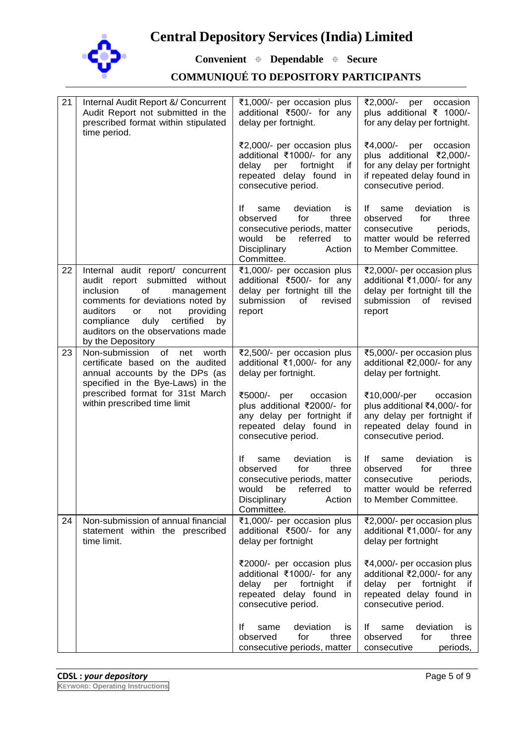

**Convenient Dependable Secure**

| 21 | Internal Audit Report &/ Concurrent<br>Audit Report not submitted in the<br>prescribed format within stipulated<br>time period.                                                                                                                                                   | ₹1,000/- per occasion plus<br>additional ₹500/- for any<br>delay per fortnight.                                                                                    | ₹2,000/- per<br>occasion<br>plus additional ₹ 1000/-<br>for any delay per fortnight.                                                             |
|----|-----------------------------------------------------------------------------------------------------------------------------------------------------------------------------------------------------------------------------------------------------------------------------------|--------------------------------------------------------------------------------------------------------------------------------------------------------------------|--------------------------------------------------------------------------------------------------------------------------------------------------|
|    |                                                                                                                                                                                                                                                                                   | ₹2,000/- per occasion plus<br>additional ₹1000/- for any<br>fortnight<br>delay per<br>if.<br>repeated delay found in<br>consecutive period.                        | ₹4,000/- per<br>occasion<br>plus additional ₹2,000/-<br>for any delay per fortnight<br>if repeated delay found in<br>consecutive period.         |
|    |                                                                                                                                                                                                                                                                                   | deviation<br>lf.<br>same<br>is<br>observed<br>for<br>three<br>consecutive periods, matter<br>would<br>be<br>referred<br>to<br>Disciplinary<br>Action<br>Committee. | deviation<br>lf.<br>same<br><b>is</b><br>observed<br>for<br>three<br>consecutive<br>periods,<br>matter would be referred<br>to Member Committee. |
| 22 | Internal audit report/ concurrent<br>report submitted without<br>audit<br>inclusion<br>of<br>management<br>comments for deviations noted by<br>auditors<br>not<br>providing<br>or<br>duly certified<br>compliance<br>by<br>auditors on the observations made<br>by the Depository | ₹1,000/- per occasion plus<br>additional ₹500/- for any<br>delay per fortnight till the<br>submission<br>revised<br>of<br>report                                   | ₹2,000/- per occasion plus<br>additional ₹1,000/- for any<br>delay per fortnight till the<br>submission<br>of __<br>revised<br>report            |
| 23 | Non-submission<br>0f<br>net<br>worth<br>certificate based on the audited<br>annual accounts by the DPs (as<br>specified in the Bye-Laws) in the                                                                                                                                   | ₹2,500/- per occasion plus<br>additional ₹1,000/- for any<br>delay per fortnight.                                                                                  | ₹5,000/- per occasion plus<br>additional ₹2,000/- for any<br>delay per fortnight.                                                                |
|    | prescribed format for 31st March<br>within prescribed time limit                                                                                                                                                                                                                  | ₹5000/- per<br>occasion<br>plus additional ₹2000/- for<br>any delay per fortnight if<br>repeated delay found in<br>consecutive period.                             | ₹10,000/-per<br>occasion<br>plus additional ₹4,000/- for<br>any delay per fortnight if<br>repeated delay found in<br>consecutive period.         |
|    |                                                                                                                                                                                                                                                                                   | lf<br>deviation<br>same<br>is<br>observed<br>for<br>three<br>consecutive periods, matter<br>would be referred to<br>Disciplinary<br>Action<br>Committee.           | deviation<br>lf.<br>same<br>İS<br>observed<br>for<br>three<br>consecutive<br>periods,<br>matter would be referred<br>to Member Committee.        |
| 24 | Non-submission of annual financial<br>statement within the prescribed<br>time limit.                                                                                                                                                                                              | ₹1,000/- per occasion plus<br>additional ₹500/- for any<br>delay per fortnight                                                                                     | ₹2,000/- per occasion plus<br>additional ₹1,000/- for any<br>delay per fortnight                                                                 |
|    |                                                                                                                                                                                                                                                                                   | ₹2000/- per occasion plus<br>additional ₹1000/- for any<br>fortnight<br>delay<br>per<br>if.<br>repeated delay found in<br>consecutive period.                      | ₹4,000/- per occasion plus<br>additional ₹2,000/- for any<br>delay per fortnight<br>-it<br>repeated delay found in<br>consecutive period.        |
|    |                                                                                                                                                                                                                                                                                   | deviation<br>Ιf<br>same<br>is<br>for<br>observed<br>three<br>consecutive periods, matter                                                                           | deviation<br>lf.<br>same<br>is<br>observed<br>for<br>three<br>consecutive<br>periods,                                                            |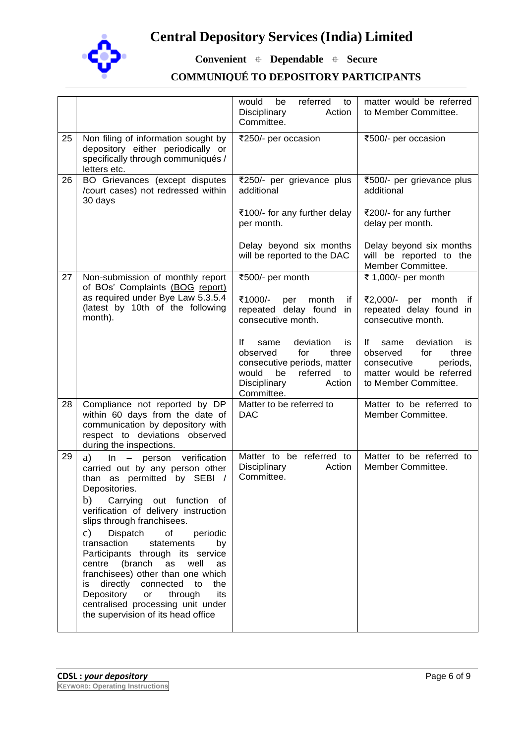

**Convenient Dependable Secure**

|    |                                                                                                                                                                                                                                                                                                                                                                                                                                                                                                                                                                                   | would<br>referred<br>be<br>to<br>Disciplinary<br>Action<br>Committee.                                                                                              | matter would be referred<br>to Member Committee.                                                                                           |
|----|-----------------------------------------------------------------------------------------------------------------------------------------------------------------------------------------------------------------------------------------------------------------------------------------------------------------------------------------------------------------------------------------------------------------------------------------------------------------------------------------------------------------------------------------------------------------------------------|--------------------------------------------------------------------------------------------------------------------------------------------------------------------|--------------------------------------------------------------------------------------------------------------------------------------------|
| 25 | Non filing of information sought by<br>depository either periodically or<br>specifically through communiqués /<br>letters etc.                                                                                                                                                                                                                                                                                                                                                                                                                                                    | ₹250/- per occasion                                                                                                                                                | ₹500/- per occasion                                                                                                                        |
| 26 | BO Grievances (except disputes<br>/court cases) not redressed within<br>30 days                                                                                                                                                                                                                                                                                                                                                                                                                                                                                                   | ₹250/- per grievance plus<br>additional                                                                                                                            | ₹500/- per grievance plus<br>additional                                                                                                    |
|    |                                                                                                                                                                                                                                                                                                                                                                                                                                                                                                                                                                                   | ₹100/- for any further delay<br>per month.                                                                                                                         | ₹200/- for any further<br>delay per month.                                                                                                 |
|    |                                                                                                                                                                                                                                                                                                                                                                                                                                                                                                                                                                                   | Delay beyond six months<br>will be reported to the DAC                                                                                                             | Delay beyond six months<br>will be reported to the<br>Member Committee.                                                                    |
| 27 | Non-submission of monthly report<br>of BOs' Complaints (BOG report)                                                                                                                                                                                                                                                                                                                                                                                                                                                                                                               | ₹500/- per month                                                                                                                                                   | ₹ 1,000/- per month                                                                                                                        |
|    | as required under Bye Law 5.3.5.4<br>(latest by 10th of the following<br>month).                                                                                                                                                                                                                                                                                                                                                                                                                                                                                                  | ₹1000/-<br>month<br>if<br>per<br>repeated delay found<br>in<br>consecutive month.                                                                                  | ₹2,000/- per month<br>∴if<br>repeated delay found in<br>consecutive month.                                                                 |
|    |                                                                                                                                                                                                                                                                                                                                                                                                                                                                                                                                                                                   | lf<br>deviation<br>same<br>is.<br>observed<br>for<br>three<br>consecutive periods, matter<br>would<br>be<br>referred<br>to<br>Disciplinary<br>Action<br>Committee. | deviation<br>lf –<br>same<br>is<br>observed<br>for<br>three<br>periods,<br>consecutive<br>matter would be referred<br>to Member Committee. |
| 28 | Compliance not reported by DP<br>within 60 days from the date of<br>communication by depository with<br>respect to deviations observed<br>during the inspections.                                                                                                                                                                                                                                                                                                                                                                                                                 | Matter to be referred to<br><b>DAC</b>                                                                                                                             | Matter to be referred to<br>Member Committee.                                                                                              |
| 29 | a)<br>In - person verification<br>carried out by any person other<br>than as permitted by SEBI /<br>Depositories.<br>b)<br>Carrying out function of<br>verification of delivery instruction<br>slips through franchisees.<br>$\mathbf{c})$<br>Dispatch<br>of<br>periodic<br>transaction<br>statements<br>by<br>Participants through its service<br>centre<br>(branch<br>as well<br>as<br>franchisees) other than one which<br>directly connected to<br>is<br>the<br>Depository<br>or<br>through<br>its<br>centralised processing unit under<br>the supervision of its head office | Matter to be referred to<br>Disciplinary<br>Action<br>Committee.                                                                                                   | Matter to be referred to<br>Member Committee.                                                                                              |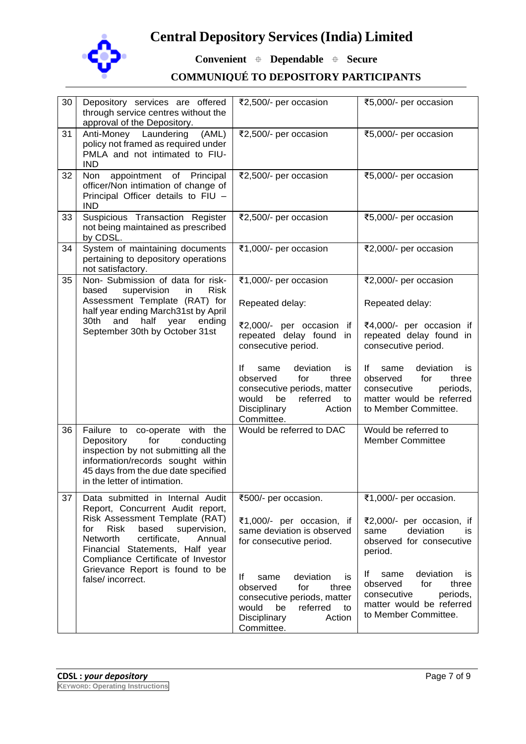

**Convenient Dependable Secure**

| 30 | Depository services are offered<br>through service centres without the<br>approval of the Depository.                                                                                                                                                                                                                        | ₹2,500/- per occasion                                                                                                                                                                                         | ₹5,000/- per occasion                                                                                                                                                                                           |
|----|------------------------------------------------------------------------------------------------------------------------------------------------------------------------------------------------------------------------------------------------------------------------------------------------------------------------------|---------------------------------------------------------------------------------------------------------------------------------------------------------------------------------------------------------------|-----------------------------------------------------------------------------------------------------------------------------------------------------------------------------------------------------------------|
| 31 | Anti-Money Laundering<br>(AML)<br>policy not framed as required under<br>PMLA and not intimated to FIU-<br><b>IND</b>                                                                                                                                                                                                        | ₹2,500/- per occasion                                                                                                                                                                                         | ₹5,000/- per occasion                                                                                                                                                                                           |
| 32 | appointment of Principal<br>Non<br>officer/Non intimation of change of<br>Principal Officer details to FIU -<br><b>IND</b>                                                                                                                                                                                                   | ₹2,500/- per occasion                                                                                                                                                                                         | ₹5,000/- per occasion                                                                                                                                                                                           |
| 33 | Suspicious Transaction Register<br>not being maintained as prescribed<br>by CDSL.                                                                                                                                                                                                                                            | ₹2,500/- per occasion                                                                                                                                                                                         | ₹5,000/- per occasion                                                                                                                                                                                           |
| 34 | System of maintaining documents<br>pertaining to depository operations<br>not satisfactory.                                                                                                                                                                                                                                  | ₹1,000/- per occasion                                                                                                                                                                                         | ₹2,000/- per occasion                                                                                                                                                                                           |
| 35 | Non- Submission of data for risk-<br><b>Risk</b><br>based<br>supervision<br>in.                                                                                                                                                                                                                                              | ₹1,000/- per occasion                                                                                                                                                                                         | ₹2,000/- per occasion                                                                                                                                                                                           |
|    | Assessment Template (RAT) for<br>half year ending March31st by April                                                                                                                                                                                                                                                         | Repeated delay:                                                                                                                                                                                               | Repeated delay:                                                                                                                                                                                                 |
|    | half<br>30th<br>and<br>year<br>ending<br>September 30th by October 31st                                                                                                                                                                                                                                                      | ₹2,000/- per occasion if<br>repeated delay found in<br>consecutive period.                                                                                                                                    | ₹4,000/- per occasion if<br>repeated delay found in<br>consecutive period.                                                                                                                                      |
|    |                                                                                                                                                                                                                                                                                                                              | lf<br>deviation<br>same<br>is.<br>observed<br>for<br>three<br>consecutive periods, matter<br>would<br>be<br>referred<br>to<br>Disciplinary<br>Action<br>Committee.                                            | deviation<br>lf.<br>same<br>İS<br>observed<br>for<br>three<br>periods,<br>consecutive<br>matter would be referred<br>to Member Committee.                                                                       |
| 36 | Failure to co-operate with the<br>Depository<br>for<br>conducting<br>inspection by not submitting all the<br>information/records sought within<br>45 days from the due date specified<br>in the letter of intimation.                                                                                                        | Would be referred to DAC                                                                                                                                                                                      | Would be referred to<br><b>Member Committee</b>                                                                                                                                                                 |
| 37 | Data submitted in Internal Audit<br>Report, Concurrent Audit report,<br>Risk Assessment Template (RAT)<br><b>Risk</b><br>based<br>supervision,<br>for<br>Networth<br>certificate,<br>Annual<br>Financial Statements, Half year<br>Compliance Certificate of Investor<br>Grievance Report is found to be<br>false/ incorrect. | ₹500/- per occasion.<br>₹1,000/- per occasion, if<br>same deviation is observed<br>for consecutive period.<br>deviation<br><u>lf</u><br>same<br>is<br>observed<br>for<br>three<br>consecutive periods, matter | ₹1,000/- per occasion.<br>₹2,000/- per occasion, if<br>deviation<br>same<br>İS.<br>observed for consecutive<br>period.<br>deviation<br>lf.<br>same<br>is<br>observed<br>for<br>three<br>periods,<br>consecutive |
|    |                                                                                                                                                                                                                                                                                                                              | would<br>be<br>referred<br>to<br>Disciplinary<br>Action<br>Committee.                                                                                                                                         | matter would be referred<br>to Member Committee.                                                                                                                                                                |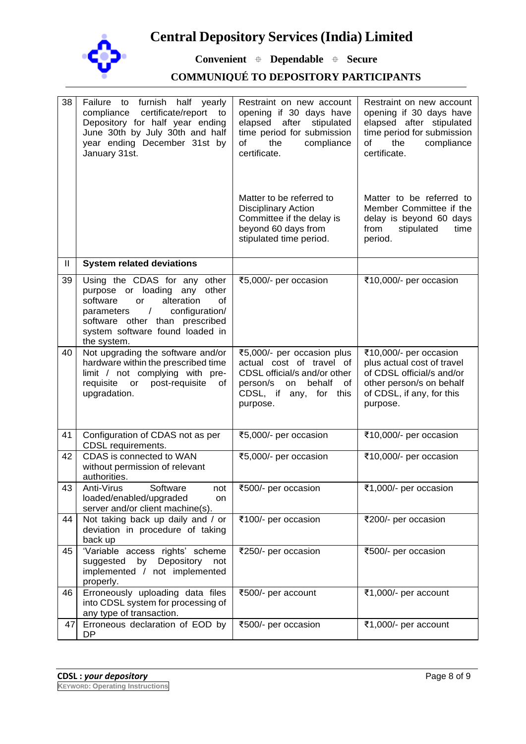

**Convenient Dependable Secure**

| 38 | Failure to furnish half yearly<br>certificate/report to<br>compliance<br>Depository for half year ending<br>June 30th by July 30th and half<br>year ending December 31st by<br>January 31st.                                            | Restraint on new account<br>opening if 30 days have<br>elapsed<br>after<br>stipulated<br>time period for submission<br>the<br>compliance<br>0f<br>certificate. | Restraint on new account<br>opening if 30 days have<br>elapsed after stipulated<br>time period for submission<br>the<br>compliance<br>of<br>certificate. |
|----|-----------------------------------------------------------------------------------------------------------------------------------------------------------------------------------------------------------------------------------------|----------------------------------------------------------------------------------------------------------------------------------------------------------------|----------------------------------------------------------------------------------------------------------------------------------------------------------|
|    |                                                                                                                                                                                                                                         | Matter to be referred to<br><b>Disciplinary Action</b><br>Committee if the delay is<br>beyond 60 days from<br>stipulated time period.                          | Matter to be referred to<br>Member Committee if the<br>delay is beyond 60 days<br>from<br>stipulated<br>time<br>period.                                  |
| Ш  | <b>System related deviations</b>                                                                                                                                                                                                        |                                                                                                                                                                |                                                                                                                                                          |
| 39 | Using the CDAS for any other<br>purpose or loading any<br>other<br>alteration<br>software<br>or<br>of<br>$\sqrt{ }$<br>configuration/<br>parameters<br>software other than prescribed<br>system software found loaded in<br>the system. | ₹5,000/- per occasion                                                                                                                                          | ₹10,000/- per occasion                                                                                                                                   |
| 40 | Not upgrading the software and/or<br>hardware within the prescribed time<br>limit / not complying with pre-<br>requisite<br>post-requisite<br>or<br>of<br>upgradation.                                                                  | ₹5,000/- per occasion plus<br>actual cost of travel of<br>CDSL official/s and/or other<br>person/s<br>on<br>behalf<br>of<br>CDSL, if any, for this<br>purpose. | ₹10,000/- per occasion<br>plus actual cost of travel<br>of CDSL official/s and/or<br>other person/s on behalf<br>of CDSL, if any, for this<br>purpose.   |
| 41 | Configuration of CDAS not as per<br>CDSL requirements.                                                                                                                                                                                  | ₹5,000/- per occasion                                                                                                                                          | ₹10,000/- per occasion                                                                                                                                   |
| 42 | CDAS is connected to WAN<br>without permission of relevant<br>authorities.                                                                                                                                                              | ₹5,000/- per occasion                                                                                                                                          | ₹10,000/- per occasion                                                                                                                                   |
| 43 | Anti-Virus<br>Software<br>not<br>loaded/enabled/upgraded<br>on<br>server and/or client machine(s).                                                                                                                                      | ₹500/- per occasion                                                                                                                                            | ₹1,000/- per occasion                                                                                                                                    |
| 44 | Not taking back up daily and / or<br>deviation in procedure of taking<br>back up                                                                                                                                                        | ₹100/- per occasion                                                                                                                                            | ₹200/- per occasion                                                                                                                                      |
| 45 | 'Variable access rights' scheme<br>Depository<br>suggested<br>by<br>not<br>implemented / not implemented<br>properly.                                                                                                                   | ₹250/- per occasion                                                                                                                                            | ₹500/- per occasion                                                                                                                                      |
| 46 | Erroneously uploading data files<br>into CDSL system for processing of<br>any type of transaction.                                                                                                                                      | ₹500/- per account                                                                                                                                             | ₹1,000/- per account                                                                                                                                     |
| 47 | Erroneous declaration of EOD by<br><b>DP</b>                                                                                                                                                                                            | ₹500/- per occasion                                                                                                                                            | ₹1,000/- per account                                                                                                                                     |